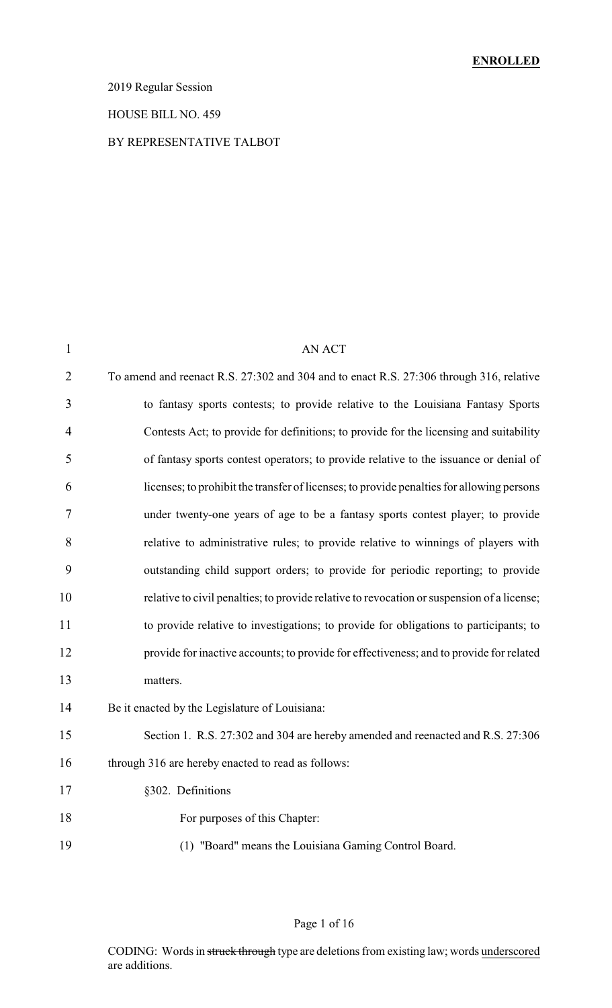### 2019 Regular Session

#### HOUSE BILL NO. 459

#### BY REPRESENTATIVE TALBOT

| $\mathbf{1}$   | <b>AN ACT</b>                                                                              |
|----------------|--------------------------------------------------------------------------------------------|
| $\overline{2}$ | To amend and reenact R.S. 27:302 and 304 and to enact R.S. 27:306 through 316, relative    |
| 3              | to fantasy sports contests; to provide relative to the Louisiana Fantasy Sports            |
| $\overline{4}$ | Contests Act; to provide for definitions; to provide for the licensing and suitability     |
| 5              | of fantasy sports contest operators; to provide relative to the issuance or denial of      |
| 6              | licenses; to prohibit the transfer of licenses; to provide penalties for allowing persons  |
| 7              | under twenty-one years of age to be a fantasy sports contest player; to provide            |
| 8              | relative to administrative rules; to provide relative to winnings of players with          |
| 9              | outstanding child support orders; to provide for periodic reporting; to provide            |
| 10             | relative to civil penalties; to provide relative to revocation or suspension of a license; |
| 11             | to provide relative to investigations; to provide for obligations to participants; to      |
| 12             | provide for inactive accounts; to provide for effectiveness; and to provide for related    |
| 13             | matters.                                                                                   |
| 14             | Be it enacted by the Legislature of Louisiana:                                             |
| 15             | Section 1. R.S. 27:302 and 304 are hereby amended and reenacted and R.S. 27:306            |
| 16             | through 316 are hereby enacted to read as follows:                                         |
| 17             | §302. Definitions                                                                          |
| 18             | For purposes of this Chapter:                                                              |
| 19             | (1) "Board" means the Louisiana Gaming Control Board.                                      |
|                |                                                                                            |

# Page 1 of 16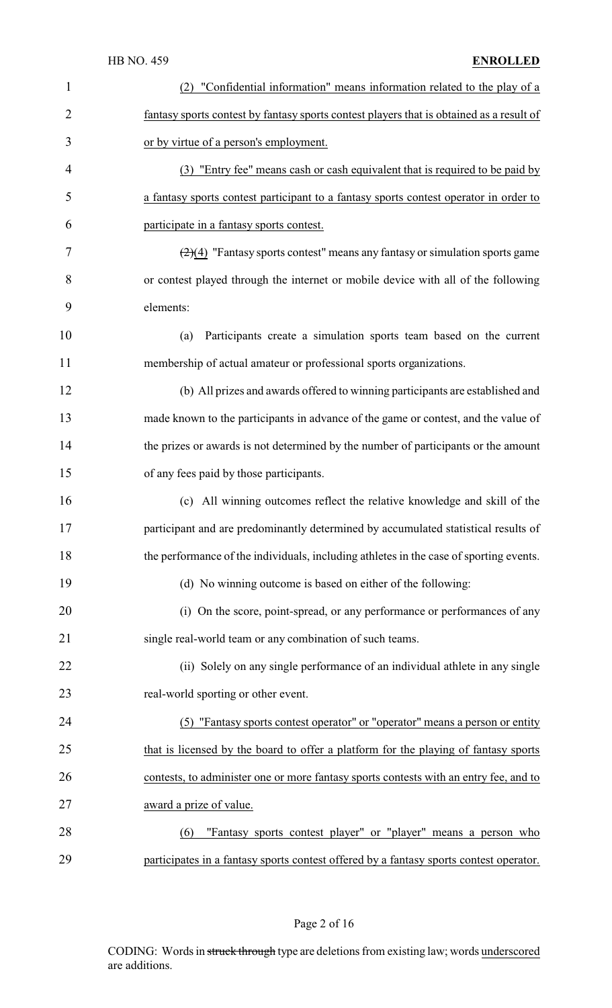| $\mathbf{1}$   | (2) "Confidential information" means information related to the play of a                       |
|----------------|-------------------------------------------------------------------------------------------------|
| $\overline{2}$ | fantasy sports contest by fantasy sports contest players that is obtained as a result of        |
| 3              | or by virtue of a person's employment.                                                          |
| 4              | (3) "Entry fee" means cash or cash equivalent that is required to be paid by                    |
| 5              | a fantasy sports contest participant to a fantasy sports contest operator in order to           |
| 6              | participate in a fantasy sports contest.                                                        |
| 7              | $\left(\frac{2}{4}\right)$ "Fantasy sports contest" means any fantasy or simulation sports game |
| 8              | or contest played through the internet or mobile device with all of the following               |
| 9              | elements:                                                                                       |
| 10             | Participants create a simulation sports team based on the current<br>(a)                        |
| 11             | membership of actual amateur or professional sports organizations.                              |
| 12             | (b) All prizes and awards offered to winning participants are established and                   |
| 13             | made known to the participants in advance of the game or contest, and the value of              |
| 14             | the prizes or awards is not determined by the number of participants or the amount              |
| 15             | of any fees paid by those participants.                                                         |
| 16             | (c) All winning outcomes reflect the relative knowledge and skill of the                        |
| 17             | participant and are predominantly determined by accumulated statistical results of              |
| 18             | the performance of the individuals, including athletes in the case of sporting events.          |
| 19             | (d) No winning outcome is based on either of the following:                                     |
| 20             | (i) On the score, point-spread, or any performance or performances of any                       |
| 21             | single real-world team or any combination of such teams.                                        |
| 22             | (ii) Solely on any single performance of an individual athlete in any single                    |
| 23             | real-world sporting or other event.                                                             |
| 24             | (5) "Fantasy sports contest operator" or "operator" means a person or entity                    |
| 25             | that is licensed by the board to offer a platform for the playing of fantasy sports             |
| 26             | contests, to administer one or more fantasy sports contests with an entry fee, and to           |
| 27             | award a prize of value.                                                                         |
| 28             | "Fantasy sports contest player" or "player" means a person who<br>(6)                           |
| 29             | participates in a fantasy sports contest offered by a fantasy sports contest operator.          |

Page 2 of 16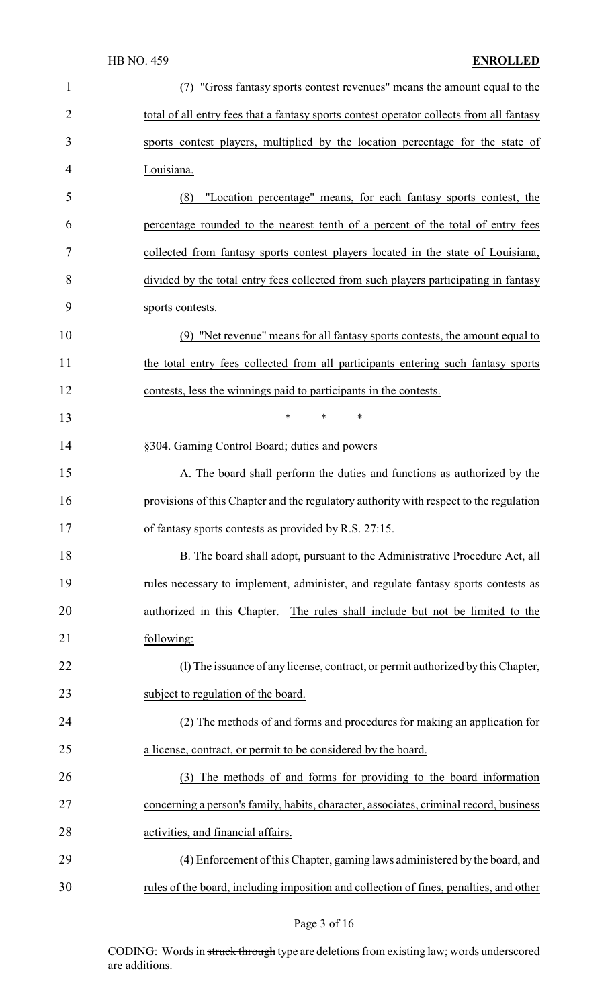| $\mathbf{1}$   | "Gross fantasy sports contest revenues" means the amount equal to the                    |
|----------------|------------------------------------------------------------------------------------------|
| $\overline{2}$ | total of all entry fees that a fantasy sports contest operator collects from all fantasy |
| 3              | sports contest players, multiplied by the location percentage for the state of           |
| 4              | Louisiana.                                                                               |
| 5              | "Location percentage" means, for each fantasy sports contest, the<br>(8)                 |
| 6              | percentage rounded to the nearest tenth of a percent of the total of entry fees          |
| 7              | collected from fantasy sports contest players located in the state of Louisiana,         |
| 8              | divided by the total entry fees collected from such players participating in fantasy     |
| 9              | sports contests.                                                                         |
| 10             | (9) "Net revenue" means for all fantasy sports contests, the amount equal to             |
| 11             | the total entry fees collected from all participants entering such fantasy sports        |
| 12             | contests, less the winnings paid to participants in the contests.                        |
| 13             | $\ast$<br>$\ast$<br>$\ast$                                                               |
| 14             | §304. Gaming Control Board; duties and powers                                            |
| 15             | A. The board shall perform the duties and functions as authorized by the                 |
| 16             | provisions of this Chapter and the regulatory authority with respect to the regulation   |
| 17             | of fantasy sports contests as provided by R.S. 27:15                                     |
| 18             | B. The board shall adopt, pursuant to the Administrative Procedure Act, all              |
| 19             | rules necessary to implement, administer, and regulate fantasy sports contests as        |
| 20             | authorized in this Chapter. The rules shall include but not be limited to the            |
| 21             | following:                                                                               |
| 22             | (1) The issuance of any license, contract, or permit authorized by this Chapter,         |
| 23             | subject to regulation of the board.                                                      |
| 24             | (2) The methods of and forms and procedures for making an application for                |
| 25             | a license, contract, or permit to be considered by the board.                            |
| 26             | (3) The methods of and forms for providing to the board information                      |
| 27             | concerning a person's family, habits, character, associates, criminal record, business   |
| 28             | activities, and financial affairs.                                                       |
| 29             | (4) Enforcement of this Chapter, gaming laws administered by the board, and              |
| 30             | rules of the board, including imposition and collection of fines, penalties, and other   |

# Page 3 of 16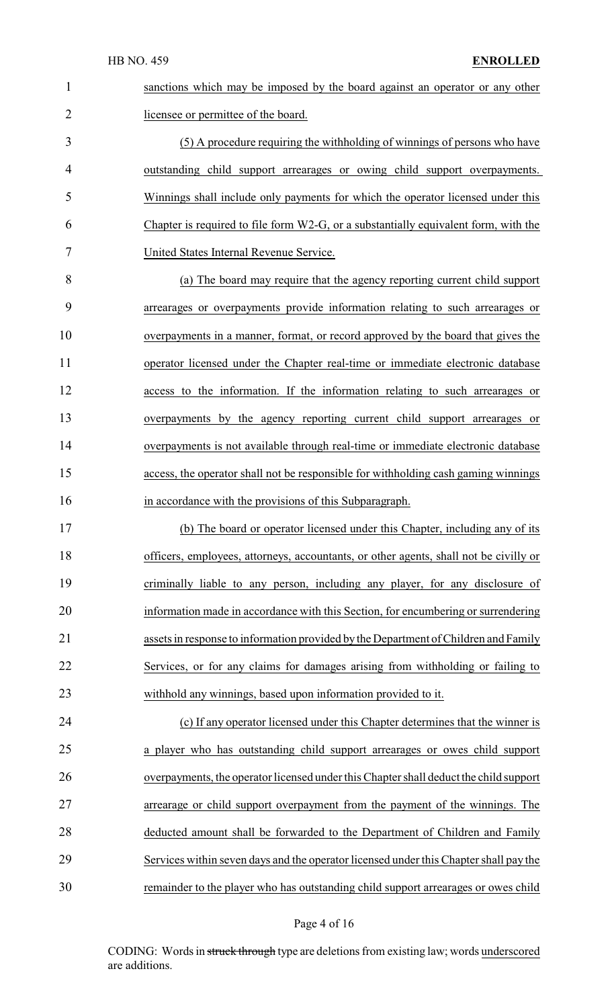sanctions which may be imposed by the board against an operator or any other 2 licensee or permittee of the board. (5) A procedure requiring the withholding of winnings of persons who have outstanding child support arrearages or owing child support overpayments. Winnings shall include only payments for which the operator licensed under this Chapter is required to file form W2-G, or a substantially equivalent form, with the United States Internal Revenue Service. (a) The board may require that the agency reporting current child support arrearages or overpayments provide information relating to such arrearages or overpayments in a manner, format, or record approved by the board that gives the operator licensed under the Chapter real-time or immediate electronic database access to the information. If the information relating to such arrearages or overpayments by the agency reporting current child support arrearages or overpayments is not available through real-time or immediate electronic database access, the operator shall not be responsible for withholding cash gaming winnings in accordance with the provisions of this Subparagraph. (b) The board or operator licensed under this Chapter, including any of its officers, employees, attorneys, accountants, or other agents, shall not be civilly or criminally liable to any person, including any player, for any disclosure of information made in accordance with this Section, for encumbering or surrendering assets in response to information provided bythe Department of Children and Family Services, or for any claims for damages arising from withholding or failing to withhold any winnings, based upon information provided to it. (c) If any operator licensed under this Chapter determines that the winner is a player who has outstanding child support arrearages or owes child support overpayments, the operator licensed under this Chapter shall deduct the child support arrearage or child support overpayment from the payment of the winnings. The deducted amount shall be forwarded to the Department of Children and Family Services within seven days and the operator licensed under this Chapter shall pay the remainder to the player who has outstanding child support arrearages or owes child

#### Page 4 of 16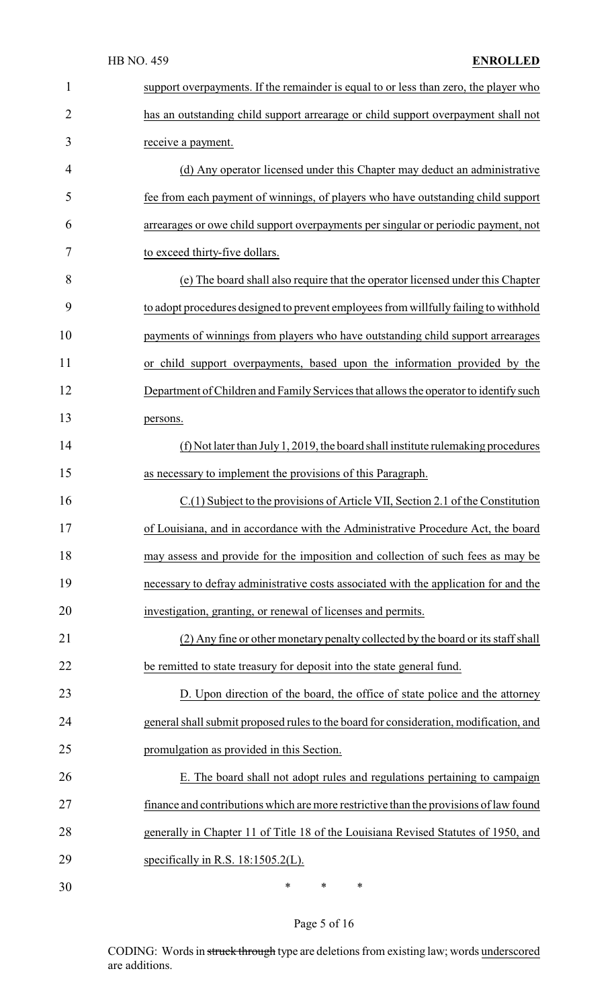| $\mathbf{1}$   | support overpayments. If the remainder is equal to or less than zero, the player who  |
|----------------|---------------------------------------------------------------------------------------|
| $\overline{2}$ | has an outstanding child support arrearage or child support overpayment shall not     |
| 3              | receive a payment.                                                                    |
| 4              | (d) Any operator licensed under this Chapter may deduct an administrative             |
| 5              | fee from each payment of winnings, of players who have outstanding child support      |
| 6              | arrearages or owe child support overpayments per singular or periodic payment, not    |
| 7              | to exceed thirty-five dollars.                                                        |
| 8              | (e) The board shall also require that the operator licensed under this Chapter        |
| 9              | to adopt procedures designed to prevent employees from willfully failing to withhold  |
| 10             | payments of winnings from players who have outstanding child support arrearages       |
| 11             | or child support overpayments, based upon the information provided by the             |
| 12             | Department of Children and Family Services that allows the operator to identify such  |
| 13             | persons.                                                                              |
| 14             | $(f)$ Not later than July 1, 2019, the board shall institute rule making procedures   |
| 15             | as necessary to implement the provisions of this Paragraph.                           |
| 16             | C.(1) Subject to the provisions of Article VII, Section 2.1 of the Constitution       |
| 17             | of Louisiana, and in accordance with the Administrative Procedure Act, the board      |
| 18             | may assess and provide for the imposition and collection of such fees as may be       |
| 19             | necessary to defray administrative costs associated with the application for and the  |
| 20             | investigation, granting, or renewal of licenses and permits.                          |
| 21             | (2) Any fine or other monetary penalty collected by the board or its staff shall      |
| 22             | be remitted to state treasury for deposit into the state general fund.                |
| 23             | D. Upon direction of the board, the office of state police and the attorney           |
| 24             | general shall submit proposed rules to the board for consideration, modification, and |
| 25             | promulgation as provided in this Section.                                             |
| 26             | E. The board shall not adopt rules and regulations pertaining to campaign             |
| 27             | finance and contributions which are more restrictive than the provisions of law found |
| 28             | generally in Chapter 11 of Title 18 of the Louisiana Revised Statutes of 1950, and    |
| 29             | specifically in R.S. $18:1505.2(L)$ .                                                 |
| 30             | $\ast$<br>$\ast$<br>∗                                                                 |

Page 5 of 16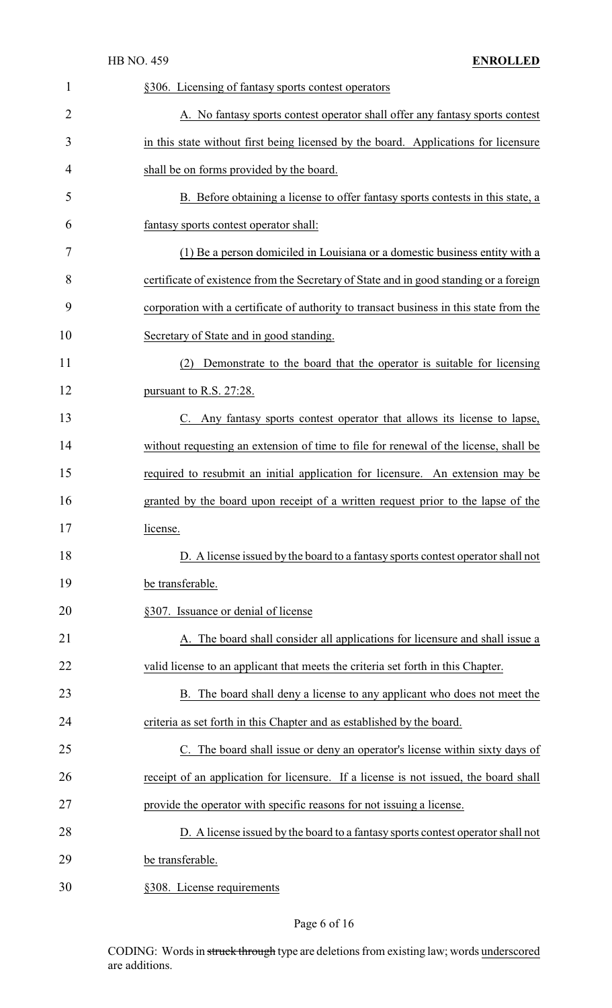| $\mathbf{1}$   | §306. Licensing of fantasy sports contest operators                                     |
|----------------|-----------------------------------------------------------------------------------------|
| $\overline{2}$ | A. No fantasy sports contest operator shall offer any fantasy sports contest            |
| 3              | in this state without first being licensed by the board. Applications for licensure     |
| 4              | shall be on forms provided by the board.                                                |
| 5              | B. Before obtaining a license to offer fantasy sports contests in this state, a         |
| 6              | fantasy sports contest operator shall:                                                  |
| 7              | (1) Be a person domiciled in Louisiana or a domestic business entity with a             |
| 8              | certificate of existence from the Secretary of State and in good standing or a foreign  |
| 9              | corporation with a certificate of authority to transact business in this state from the |
| 10             | Secretary of State and in good standing.                                                |
| 11             | Demonstrate to the board that the operator is suitable for licensing<br>(2)             |
| 12             | pursuant to R.S. 27:28.                                                                 |
| 13             | C. Any fantasy sports contest operator that allows its license to lapse,                |
| 14             | without requesting an extension of time to file for renewal of the license, shall be    |
| 15             | required to resubmit an initial application for licensure. An extension may be          |
| 16             | granted by the board upon receipt of a written request prior to the lapse of the        |
| 17             | license.                                                                                |
| 18             | D. A license issued by the board to a fantasy sports contest operator shall not         |
| 19             | be transferable.                                                                        |
| 20             | §307. Issuance or denial of license                                                     |
| 21             | A. The board shall consider all applications for licensure and shall issue a            |
| 22             | valid license to an applicant that meets the criteria set forth in this Chapter.        |
| 23             | B. The board shall deny a license to any applicant who does not meet the                |
| 24             | criteria as set forth in this Chapter and as established by the board.                  |
| 25             | C. The board shall issue or deny an operator's license within sixty days of             |
| 26             | receipt of an application for licensure. If a license is not issued, the board shall    |
| 27             | provide the operator with specific reasons for not issuing a license.                   |
| 28             | D. A license issued by the board to a fantasy sports contest operator shall not         |
| 29             | be transferable.                                                                        |
| 30             | §308. License requirements                                                              |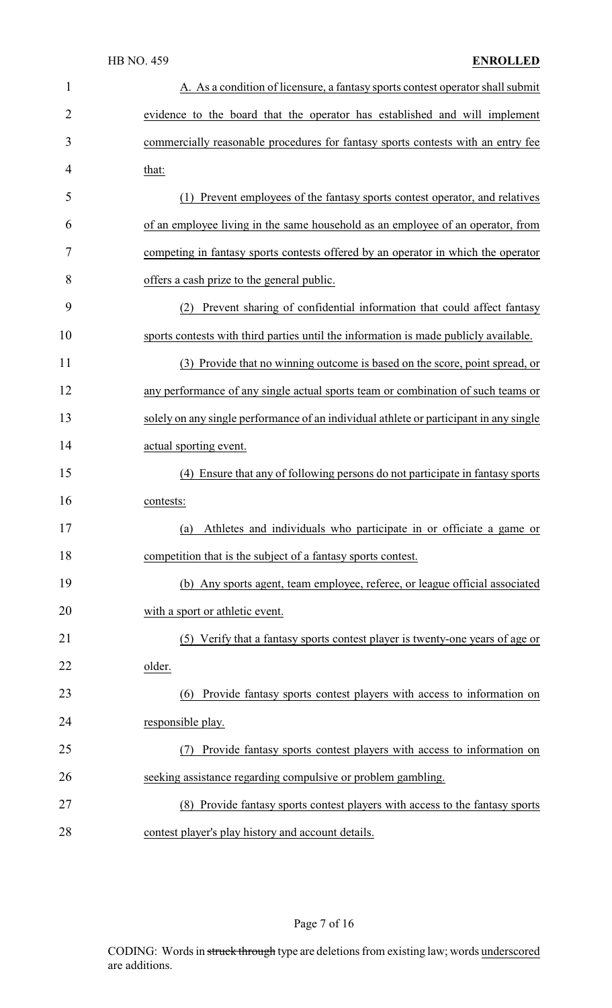| $\mathbf{1}$   | A. As a condition of licensure, a fantasy sports contest operator shall submit         |
|----------------|----------------------------------------------------------------------------------------|
| $\overline{2}$ | evidence to the board that the operator has established and will implement             |
| 3              | commercially reasonable procedures for fantasy sports contests with an entry fee       |
| 4              | that:                                                                                  |
| 5              | (1) Prevent employees of the fantasy sports contest operator, and relatives            |
| 6              | of an employee living in the same household as an employee of an operator, from        |
| 7              | competing in fantasy sports contests offered by an operator in which the operator      |
| 8              | offers a cash prize to the general public.                                             |
| 9              | Prevent sharing of confidential information that could affect fantasy<br>(2)           |
| 10             | sports contests with third parties until the information is made publicly available.   |
| 11             | (3) Provide that no winning outcome is based on the score, point spread, or            |
| 12             | any performance of any single actual sports team or combination of such teams or       |
| 13             | solely on any single performance of an individual athlete or participant in any single |
| 14             | actual sporting event.                                                                 |
| 15             | (4) Ensure that any of following persons do not participate in fantasy sports          |
| 16             | contests:                                                                              |
| 17             | (a) Athletes and individuals who participate in or officiate a game or                 |
| 18             | competition that is the subject of a fantasy sports contest.                           |
| 19             | (b) Any sports agent, team employee, referee, or league official associated            |
| 20             | with a sport or athletic event.                                                        |
| 21             | (5) Verify that a fantasy sports contest player is twenty-one years of age or          |
| 22             | older.                                                                                 |
| 23             | Provide fantasy sports contest players with access to information on<br>(6)            |
| 24             | responsible play.                                                                      |
| 25             | Provide fantasy sports contest players with access to information on                   |
| 26             | seeking assistance regarding compulsive or problem gambling.                           |
| 27             | (8) Provide fantasy sports contest players with access to the fantasy sports           |
| 28             | contest player's play history and account details.                                     |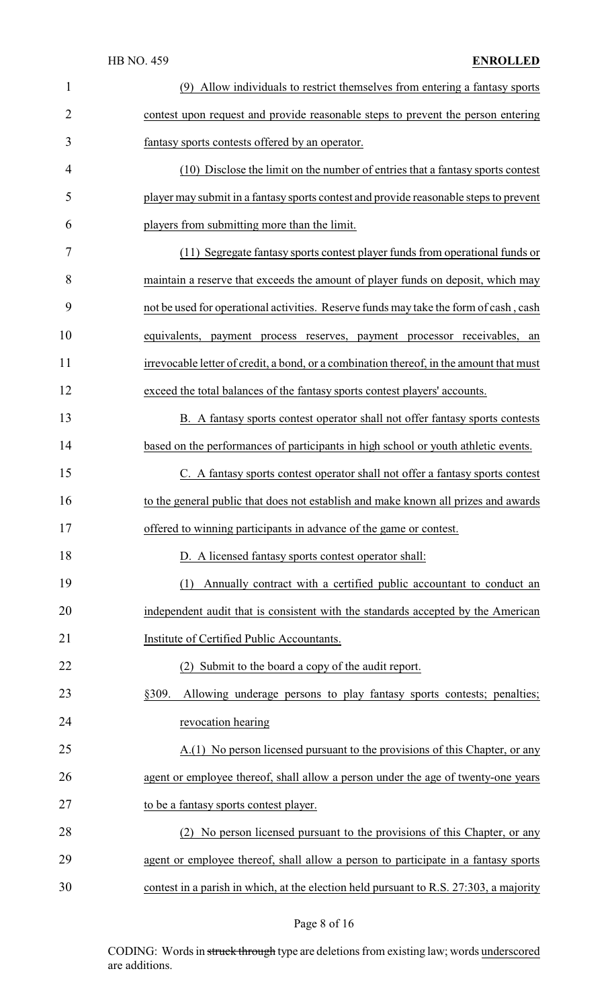| $\mathbf{1}$   | (9) Allow individuals to restrict themselves from entering a fantasy sports             |
|----------------|-----------------------------------------------------------------------------------------|
| $\overline{2}$ | contest upon request and provide reasonable steps to prevent the person entering        |
| 3              | fantasy sports contests offered by an operator.                                         |
| 4              | (10) Disclose the limit on the number of entries that a fantasy sports contest          |
| 5              | player may submit in a fantasy sports contest and provide reasonable steps to prevent   |
| 6              | players from submitting more than the limit.                                            |
| 7              | (11) Segregate fantasy sports contest player funds from operational funds or            |
| 8              | maintain a reserve that exceeds the amount of player funds on deposit, which may        |
| 9              | not be used for operational activities. Reserve funds may take the form of cash, cash   |
| 10             | equivalents, payment process reserves, payment processor receivables, an                |
| 11             | irrevocable letter of credit, a bond, or a combination thereof, in the amount that must |
| 12             | exceed the total balances of the fantasy sports contest players' accounts.              |
| 13             | B. A fantasy sports contest operator shall not offer fantasy sports contests            |
| 14             | based on the performances of participants in high school or youth athletic events.      |
| 15             | C. A fantasy sports contest operator shall not offer a fantasy sports contest           |
| 16             | to the general public that does not establish and make known all prizes and awards      |
| 17             | offered to winning participants in advance of the game or contest.                      |
| 18             | D. A licensed fantasy sports contest operator shall:                                    |
| 19             | Annually contract with a certified public accountant to conduct an<br>(1)               |
| 20             | independent audit that is consistent with the standards accepted by the American        |
| 21             | Institute of Certified Public Accountants.                                              |
| 22             | (2) Submit to the board a copy of the audit report.                                     |
| 23             | Allowing underage persons to play fantasy sports contests; penalties;<br>§309.          |
| 24             | revocation hearing                                                                      |
| 25             | A.(1) No person licensed pursuant to the provisions of this Chapter, or any             |
| 26             | agent or employee thereof, shall allow a person under the age of twenty-one years       |
| 27             | to be a fantasy sports contest player.                                                  |
| 28             | (2) No person licensed pursuant to the provisions of this Chapter, or any               |
| 29             | agent or employee thereof, shall allow a person to participate in a fantasy sports      |
| 30             | contest in a parish in which, at the election held pursuant to R.S. 27:303, a majority  |

Page 8 of 16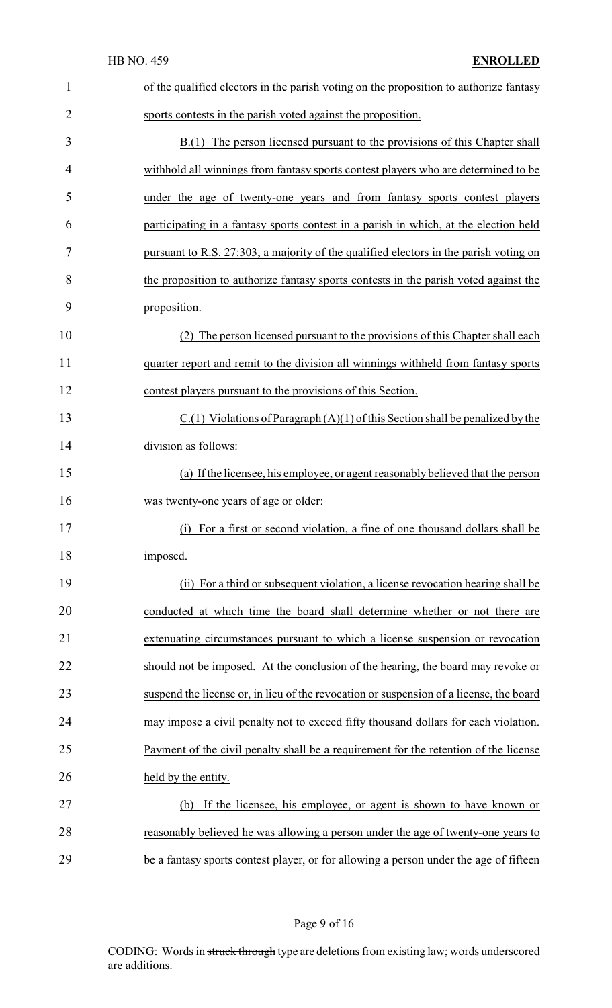|                | <b>HB NO. 459</b><br><b>ENROLLED</b>                                                    |
|----------------|-----------------------------------------------------------------------------------------|
| 1              | of the qualified electors in the parish voting on the proposition to authorize fantasy  |
| $\overline{2}$ | sports contests in the parish voted against the proposition.                            |
| 3              | B.(1) The person licensed pursuant to the provisions of this Chapter shall              |
| 4              | withhold all winnings from fantasy sports contest players who are determined to be      |
| 5              | under the age of twenty-one years and from fantasy sports contest players               |
| 6              | participating in a fantasy sports contest in a parish in which, at the election held    |
| 7              | pursuant to R.S. 27:303, a majority of the qualified electors in the parish voting on   |
| 8              | the proposition to authorize fantasy sports contests in the parish voted against the    |
| 9              | proposition.                                                                            |
| 10             | (2) The person licensed pursuant to the provisions of this Chapter shall each           |
| 11             | quarter report and remit to the division all winnings withheld from fantasy sports      |
| 12             | contest players pursuant to the provisions of this Section.                             |
| 13             | $C(1)$ Violations of Paragraph $(A)(1)$ of this Section shall be penalized by the       |
| 14             | division as follows:                                                                    |
| 15             | (a) If the licensee, his employee, or agent reasonably believed that the person         |
| 16             | was twenty-one years of age or older:                                                   |
| 17             | For a first or second violation, a fine of one thousand dollars shall be<br>(i)         |
| 18             | imposed.                                                                                |
| 19             | (ii) For a third or subsequent violation, a license revocation hearing shall be         |
| 20             | conducted at which time the board shall determine whether or not there are              |
| 21             | extenuating circumstances pursuant to which a license suspension or revocation          |
| 22             | should not be imposed. At the conclusion of the hearing, the board may revoke or        |
| 23             | suspend the license or, in lieu of the revocation or suspension of a license, the board |
| 24             | may impose a civil penalty not to exceed fifty thousand dollars for each violation.     |
| 25             | Payment of the civil penalty shall be a requirement for the retention of the license    |
| 26             | held by the entity.                                                                     |
| 27             | If the licensee, his employee, or agent is shown to have known or<br>(b)                |
| 28             | reasonably believed he was allowing a person under the age of twenty-one years to       |
| 29             | be a fantasy sports contest player, or for allowing a person under the age of fifteen   |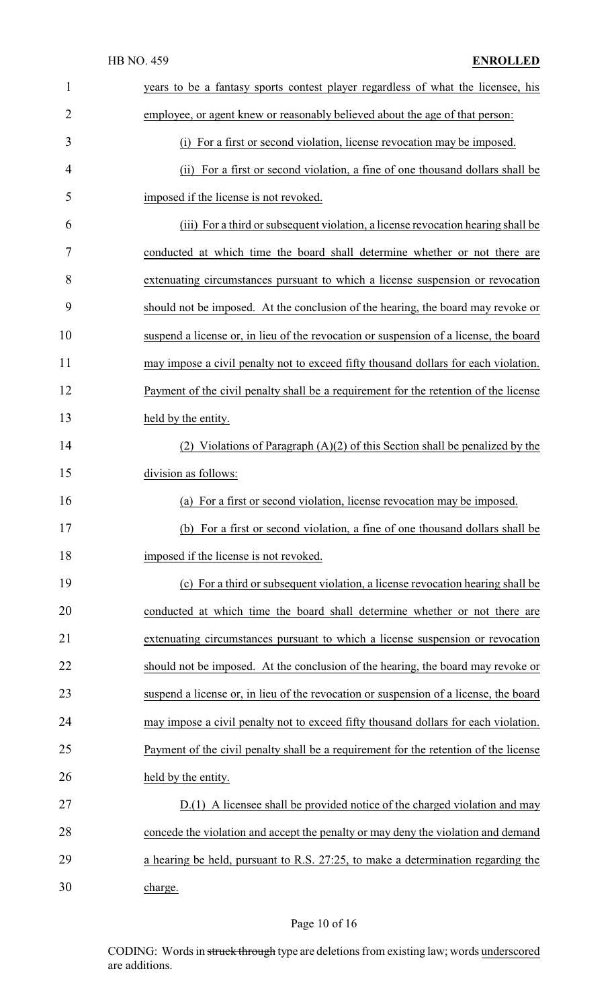| $\mathbf{1}$   | years to be a fantasy sports contest player regardless of what the licensee, his      |
|----------------|---------------------------------------------------------------------------------------|
| $\overline{2}$ | employee, or agent knew or reasonably believed about the age of that person:          |
| 3              | (i) For a first or second violation, license revocation may be imposed.               |
| 4              | (ii) For a first or second violation, a fine of one thousand dollars shall be         |
| 5              | imposed if the license is not revoked.                                                |
| 6              | (iii) For a third or subsequent violation, a license revocation hearing shall be      |
| 7              | conducted at which time the board shall determine whether or not there are            |
| 8              | extenuating circumstances pursuant to which a license suspension or revocation        |
| 9              | should not be imposed. At the conclusion of the hearing, the board may revoke or      |
| 10             | suspend a license or, in lieu of the revocation or suspension of a license, the board |
| 11             | may impose a civil penalty not to exceed fifty thousand dollars for each violation.   |
| 12             | Payment of the civil penalty shall be a requirement for the retention of the license  |
| 13             | held by the entity.                                                                   |
| 14             | (2) Violations of Paragraph $(A)(2)$ of this Section shall be penalized by the        |
| 15             | division as follows:                                                                  |
| 16             | For a first or second violation, license revocation may be imposed.<br>(a)            |
| 17             | (b) For a first or second violation, a fine of one thousand dollars shall be          |
| 18             | imposed if the license is not revoked.                                                |
| 19             | (c) For a third or subsequent violation, a license revocation hearing shall be        |
| 20             | conducted at which time the board shall determine whether or not there are            |
| 21             | extenuating circumstances pursuant to which a license suspension or revocation        |
| 22             | should not be imposed. At the conclusion of the hearing, the board may revoke or      |
| 23             | suspend a license or, in lieu of the revocation or suspension of a license, the board |
| 24             | may impose a civil penalty not to exceed fifty thousand dollars for each violation.   |
| 25             | Payment of the civil penalty shall be a requirement for the retention of the license  |
| 26             | held by the entity.                                                                   |
| 27             | D.(1) A licensee shall be provided notice of the charged violation and may            |
| 28             | concede the violation and accept the penalty or may deny the violation and demand     |
| 29             | a hearing be held, pursuant to R.S. 27:25, to make a determination regarding the      |
| 30             | charge.                                                                               |

# Page 10 of 16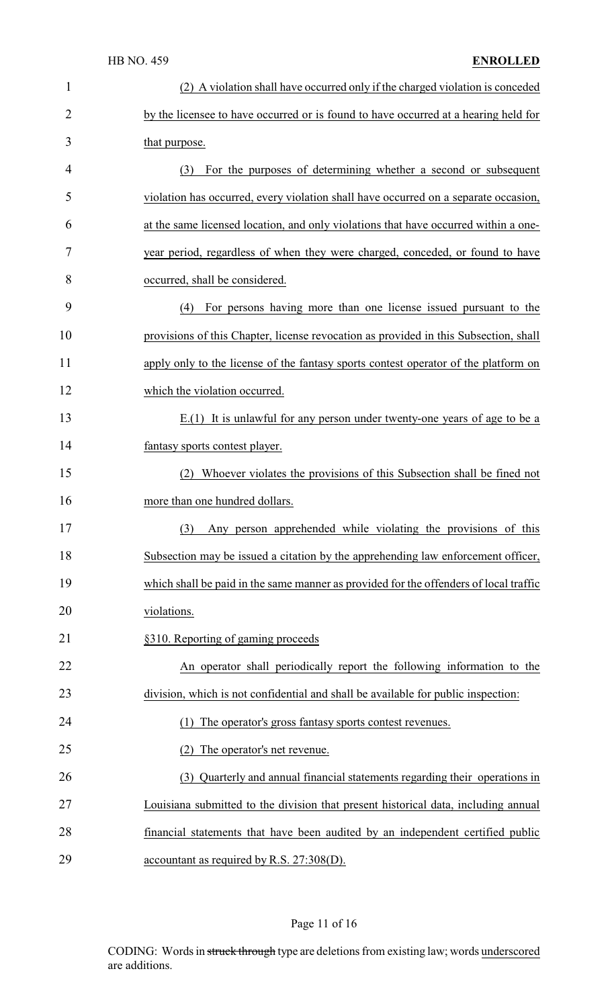| $\mathbf{1}$   | (2) A violation shall have occurred only if the charged violation is conceded         |
|----------------|---------------------------------------------------------------------------------------|
| $\overline{2}$ | by the licensee to have occurred or is found to have occurred at a hearing held for   |
| 3              | that purpose.                                                                         |
| 4              | For the purposes of determining whether a second or subsequent<br>(3)                 |
| 5              | violation has occurred, every violation shall have occurred on a separate occasion,   |
| 6              | at the same licensed location, and only violations that have occurred within a one-   |
| 7              | year period, regardless of when they were charged, conceded, or found to have         |
| 8              | occurred, shall be considered.                                                        |
| 9              | For persons having more than one license issued pursuant to the<br>(4)                |
| 10             | provisions of this Chapter, license revocation as provided in this Subsection, shall  |
| 11             | apply only to the license of the fantasy sports contest operator of the platform on   |
| 12             | which the violation occurred.                                                         |
| 13             | $E(1)$ It is unlawful for any person under twenty-one years of age to be a            |
| 14             | fantasy sports contest player.                                                        |
| 15             | (2) Whoever violates the provisions of this Subsection shall be fined not             |
| 16             | more than one hundred dollars.                                                        |
| 17             | (3) Any person apprehended while violating the provisions of this                     |
| 18             | Subsection may be issued a citation by the apprehending law enforcement officer,      |
| 19             | which shall be paid in the same manner as provided for the offenders of local traffic |
| 20             | violations.                                                                           |
| 21             | §310. Reporting of gaming proceeds                                                    |
| 22             | An operator shall periodically report the following information to the                |
| 23             | division, which is not confidential and shall be available for public inspection:     |
| 24             | The operator's gross fantasy sports contest revenues.<br>(1)                          |
| 25             | The operator's net revenue.<br>(2)                                                    |
| 26             | (3) Quarterly and annual financial statements regarding their operations in           |
| 27             | Louisiana submitted to the division that present historical data, including annual    |
| 28             | financial statements that have been audited by an independent certified public        |
| 29             | accountant as required by R.S. 27:308(D).                                             |

# Page 11 of 16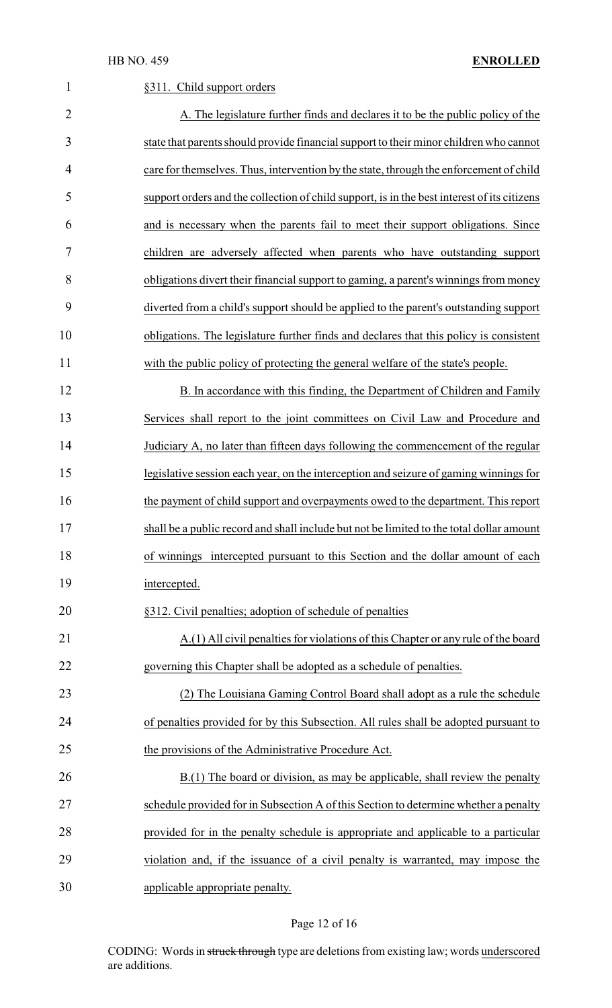| $\mathbf{1}$   | §311. Child support orders                                                                  |
|----------------|---------------------------------------------------------------------------------------------|
| $\overline{2}$ | A. The legislature further finds and declares it to be the public policy of the             |
| 3              | state that parents should provide financial support to their minor children who cannot      |
| 4              | care for themselves. Thus, intervention by the state, through the enforcement of child      |
| 5              | support orders and the collection of child support, is in the best interest of its citizens |
| 6              | and is necessary when the parents fail to meet their support obligations. Since             |
| 7              | children are adversely affected when parents who have outstanding support                   |
| 8              | obligations divert their financial support to gaming, a parent's winnings from money        |
| 9              | diverted from a child's support should be applied to the parent's outstanding support       |
| 10             | obligations. The legislature further finds and declares that this policy is consistent      |
| 11             | with the public policy of protecting the general welfare of the state's people.             |
| 12             | B. In accordance with this finding, the Department of Children and Family                   |
| 13             | Services shall report to the joint committees on Civil Law and Procedure and                |
| 14             | Judiciary A, no later than fifteen days following the commencement of the regular           |
| 15             | legislative session each year, on the interception and seizure of gaming winnings for       |
| 16             | the payment of child support and overpayments owed to the department. This report           |
| 17             | shall be a public record and shall include but not be limited to the total dollar amount    |
| 18             | of winnings intercepted pursuant to this Section and the dollar amount of each              |
| 19             | intercepted.                                                                                |
| 20             | §312. Civil penalties; adoption of schedule of penalties                                    |
| 21             | A.(1) All civil penalties for violations of this Chapter or any rule of the board           |
| 22             | governing this Chapter shall be adopted as a schedule of penalties.                         |
| 23             | (2) The Louisiana Gaming Control Board shall adopt as a rule the schedule                   |
| 24             | of penalties provided for by this Subsection. All rules shall be adopted pursuant to        |
| 25             | the provisions of the Administrative Procedure Act.                                         |
| 26             | B.(1) The board or division, as may be applicable, shall review the penalty                 |
| 27             | schedule provided for in Subsection A of this Section to determine whether a penalty        |
| 28             | provided for in the penalty schedule is appropriate and applicable to a particular          |
| 29             | violation and, if the issuance of a civil penalty is warranted, may impose the              |
| 30             | applicable appropriate penalty.                                                             |

# Page 12 of 16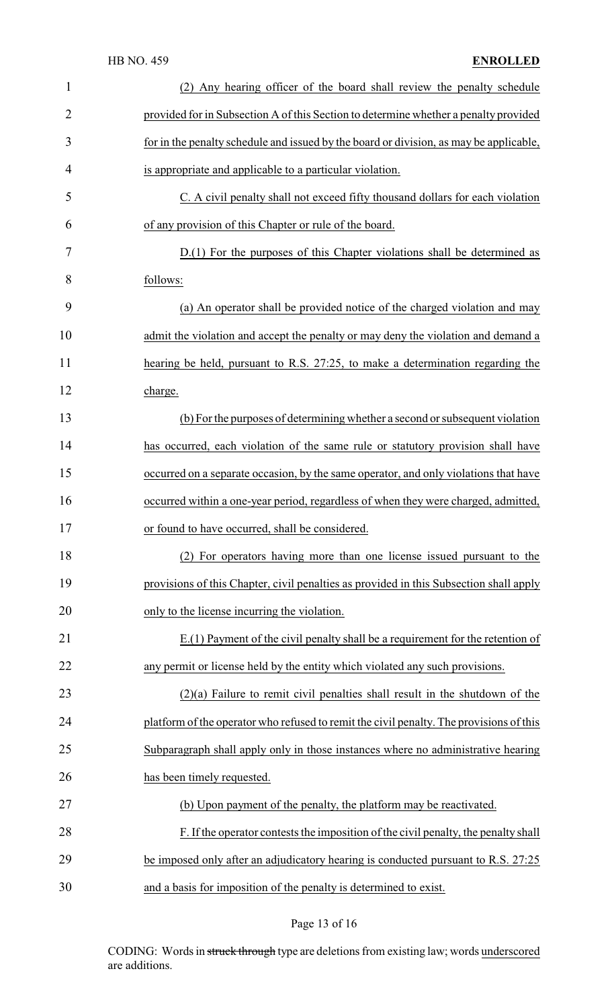| $\mathbf{1}$   | (2) Any hearing officer of the board shall review the penalty schedule                  |
|----------------|-----------------------------------------------------------------------------------------|
| $\overline{2}$ | provided for in Subsection A of this Section to determine whether a penalty provided    |
| 3              | for in the penalty schedule and issued by the board or division, as may be applicable,  |
| 4              | is appropriate and applicable to a particular violation.                                |
| 5              | C. A civil penalty shall not exceed fifty thousand dollars for each violation           |
| 6              | of any provision of this Chapter or rule of the board.                                  |
| 7              | $D(1)$ For the purposes of this Chapter violations shall be determined as               |
| 8              | follows:                                                                                |
| 9              | (a) An operator shall be provided notice of the charged violation and may               |
| 10             | admit the violation and accept the penalty or may deny the violation and demand a       |
| 11             | hearing be held, pursuant to R.S. 27:25, to make a determination regarding the          |
| 12             | charge.                                                                                 |
| 13             | (b) For the purposes of determining whether a second or subsequent violation            |
| 14             | has occurred, each violation of the same rule or statutory provision shall have         |
| 15             | occurred on a separate occasion, by the same operator, and only violations that have    |
| 16             | occurred within a one-year period, regardless of when they were charged, admitted,      |
| 17             | or found to have occurred, shall be considered.                                         |
| 18             | (2) For operators having more than one license issued pursuant to the                   |
| 19             | provisions of this Chapter, civil penalties as provided in this Subsection shall apply  |
| 20             | only to the license incurring the violation.                                            |
| 21             | $E(1)$ Payment of the civil penalty shall be a requirement for the retention of         |
| 22             | any permit or license held by the entity which violated any such provisions.            |
| 23             | $(2)(a)$ Failure to remit civil penalties shall result in the shutdown of the           |
| 24             | platform of the operator who refused to remit the civil penalty. The provisions of this |
| 25             | Subparagraph shall apply only in those instances where no administrative hearing        |
| 26             | has been timely requested.                                                              |
| 27             | (b) Upon payment of the penalty, the platform may be reactivated.                       |
| 28             | F. If the operator contests the imposition of the civil penalty, the penalty shall      |
| 29             | be imposed only after an adjudicatory hearing is conducted pursuant to R.S. 27:25       |
| 30             | and a basis for imposition of the penalty is determined to exist.                       |

# Page 13 of 16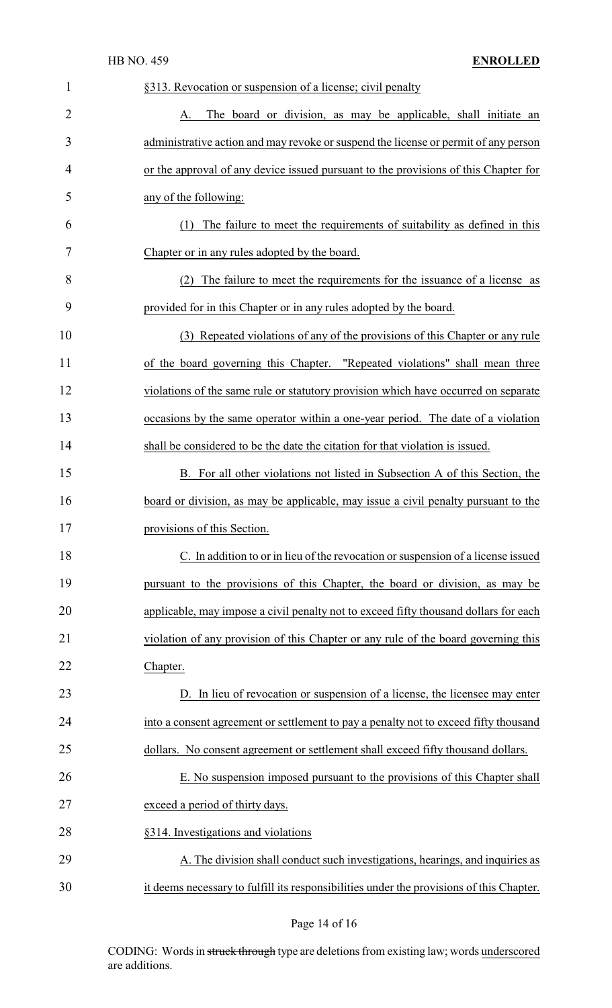|   | <b>HB NO. 459</b><br><b>ENROLLED</b>                                                |
|---|-------------------------------------------------------------------------------------|
| 1 | §313. Revocation or suspension of a license; civil penalty                          |
| 2 | The board or division, as may be applicable, shall initiate an<br>A.                |
| 3 | administrative action and may revoke or suspend the license or permit of any person |
| 4 | or the approval of any device issued pursuant to the provisions of this Chapter for |
| 5 | any of the following:                                                               |

 (1) The failure to meet the requirements of suitability as defined in this Chapter or in any rules adopted by the board.

 (2) The failure to meet the requirements for the issuance of a license as provided for in this Chapter or in any rules adopted by the board.

 (3) Repeated violations of any of the provisions of this Chapter or any rule of the board governing this Chapter. "Repeated violations" shall mean three violations of the same rule or statutory provision which have occurred on separate occasions by the same operator within a one-year period. The date of a violation shall be considered to be the date the citation for that violation is issued.

 B. For all other violations not listed in Subsection A of this Section, the board or division, as may be applicable, may issue a civil penalty pursuant to the provisions of this Section.

 C. In addition to or in lieu of the revocation or suspension of a license issued pursuant to the provisions of this Chapter, the board or division, as may be applicable, may impose a civil penalty not to exceed fifty thousand dollars for each violation of any provision of this Chapter or any rule of the board governing this Chapter.

 D. In lieu of revocation or suspension of a license, the licensee may enter into a consent agreement or settlement to pay a penalty not to exceed fifty thousand 25 dollars. No consent agreement or settlement shall exceed fifty thousand dollars.

 E. No suspension imposed pursuant to the provisions of this Chapter shall exceed a period of thirty days.

§314. Investigations and violations

 A. The division shall conduct such investigations, hearings, and inquiries as it deems necessary to fulfill its responsibilities under the provisions of this Chapter.

Page 14 of 16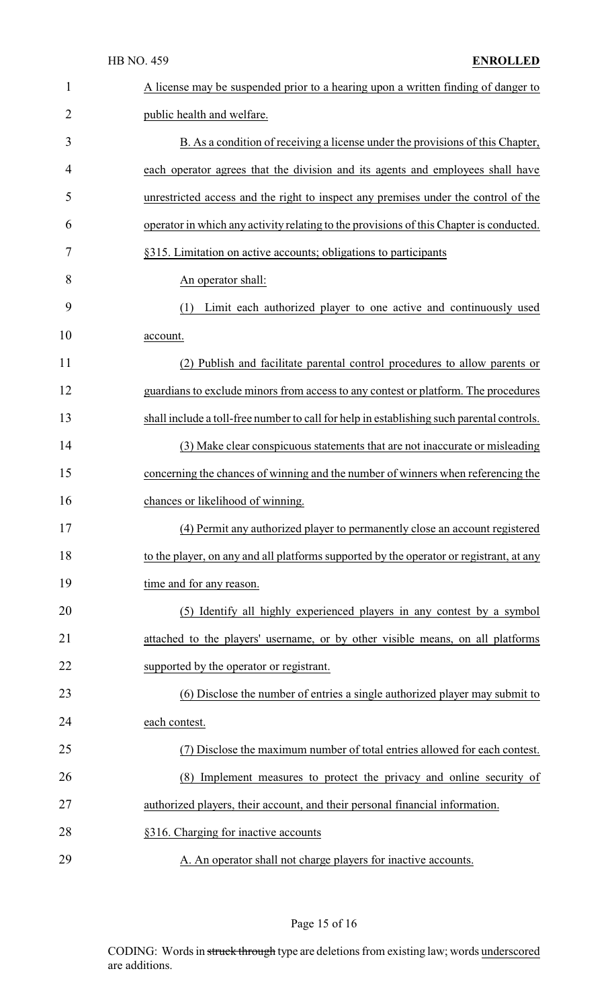| $\mathbf{1}$   | A license may be suspended prior to a hearing upon a written finding of danger to         |
|----------------|-------------------------------------------------------------------------------------------|
| $\overline{2}$ | public health and welfare.                                                                |
| 3              | B. As a condition of receiving a license under the provisions of this Chapter,            |
| 4              | each operator agrees that the division and its agents and employees shall have            |
| 5              | unrestricted access and the right to inspect any premises under the control of the        |
| 6              | operator in which any activity relating to the provisions of this Chapter is conducted.   |
| 7              | §315. Limitation on active accounts; obligations to participants                          |
| 8              | An operator shall:                                                                        |
| 9              | (1)<br>Limit each authorized player to one active and continuously used                   |
| 10             | account.                                                                                  |
| 11             | (2) Publish and facilitate parental control procedures to allow parents or                |
| 12             | guardians to exclude minors from access to any contest or platform. The procedures        |
| 13             | shall include a toll-free number to call for help in establishing such parental controls. |
| 14             | (3) Make clear conspicuous statements that are not inaccurate or misleading               |
| 15             | concerning the chances of winning and the number of winners when referencing the          |
| 16             | chances or likelihood of winning.                                                         |
| 17             | (4) Permit any authorized player to permanently close an account registered               |
| 18             | to the player, on any and all platforms supported by the operator or registrant, at any   |
| 19             | time and for any reason.                                                                  |
| 20             | (5) Identify all highly experienced players in any contest by a symbol                    |
| 21             | attached to the players' username, or by other visible means, on all platforms            |
| 22             | supported by the operator or registrant.                                                  |
| 23             | (6) Disclose the number of entries a single authorized player may submit to               |
| 24             | each contest.                                                                             |
| 25             | (7) Disclose the maximum number of total entries allowed for each contest.                |
| 26             | (8) Implement measures to protect the privacy and online security of                      |
| 27             | authorized players, their account, and their personal financial information.              |
| 28             | §316. Charging for inactive accounts                                                      |
| 29             | A. An operator shall not charge players for inactive accounts.                            |

# Page 15 of 16